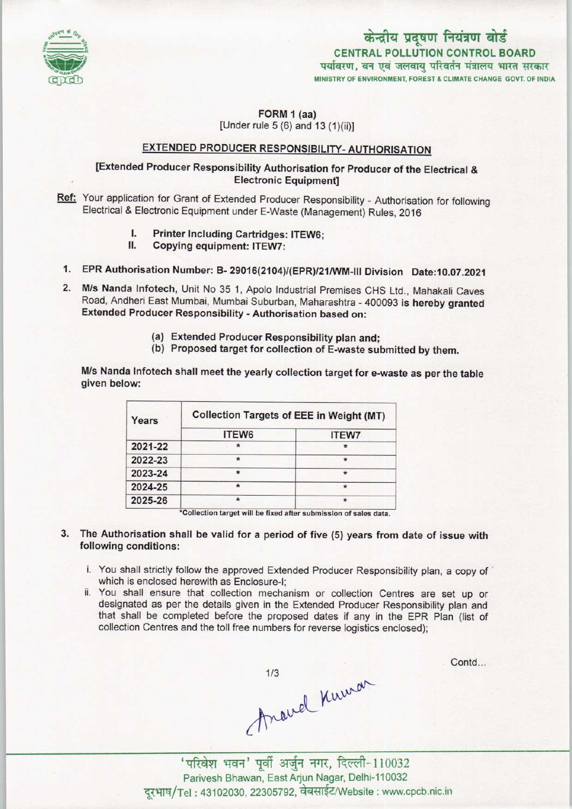

# केन्द्रीय प्रदूषण नियंत्रण बोर्ड CENTRAL POLLUTION CONTROL BOARD पर्यावरण, वन एवं जलवायु परिवर्तन मंत्रालय भारत सरकार MINISTRY OF ENVIRONMENT, FOREST & CLIMATE CHANGE GOVT. OF INDIA

#### FORM 1 (aa) [Under Fule 5 (6) and 13 (1)(ii)]

## EXTENDED PRODUCER RESPONSIBILITY- AUTHORISATION

### [Extended Producer Responsibility Authorisation for Producer of the Electrical & Electronic Equipment]

- Ref: Your application for Grant of Extended Producer Responsibility Authorisation for following Electrical & Electronic Equipment under E-Waste (Management) Rules, 2016
	- I. Printer Including Cartridges: ITEW6;<br>II. Copving equipment: ITEW7:
	- Copying equipment: ITEW7:
- 1.EPR Authorisation Number: B-29016(2104)((EPR)/21/WM-lll Division Date:10.07.2021
- 2.M/s Nanda Infotech, Unit No <sup>35</sup> 1, Apolo Industrial Premises CHS Ltd., Mahakali Caves Road, Andheri East Mumbai, Mumbai Suburban, Maharashtra - 400093 is hereby granted Extended Producer Responsibility - Authorisation based on:
	- (a) Extended Producer Responsibility plan and;
	- (b) Proposed target for collection of E-waste submitted by them.

M/s Nanda Infotech shall meet the yearly collection target for e-waste as per the table given below:

| Years   | <b>Collection Targets of EEE in Weight (MT)</b> |              |
|---------|-------------------------------------------------|--------------|
|         | ITEW6                                           | <b>ITEW7</b> |
| 2021-22 |                                                 |              |
| 2022-23 |                                                 |              |
| 2023-24 |                                                 | $\star$      |
| 2024-25 | ★                                               | $\star$      |
| 2025-26 | $\star$                                         | $\star$      |

\*Collection target will be fixed after submission of sales data.

#### 3. The Authorisation shall be valid for a period of five (5) years from date of issue with following conditions:

- i. You shall strictly follow the approved Extended Producer Responsibility plan, a copy of which is enclosed herewith as Enclosure-I;
- ii. You shall ensure that collection mechanism or collection Centres are set up or designated as per the details given in the Extended Producer Responsibility plan and that shall be completed before the proposed dates if any in the EPR Plan (list of collection Centres and the toll free numbers for reverse logistics enclosed);

Contd...

1978 11000 11000 Parivesh Bhawan, East Arjun Nagar, Delhi-110032 दूरभाष/Tel: 43102030, 22305792, वेबसाईट/Website : www.cpcb.nic.in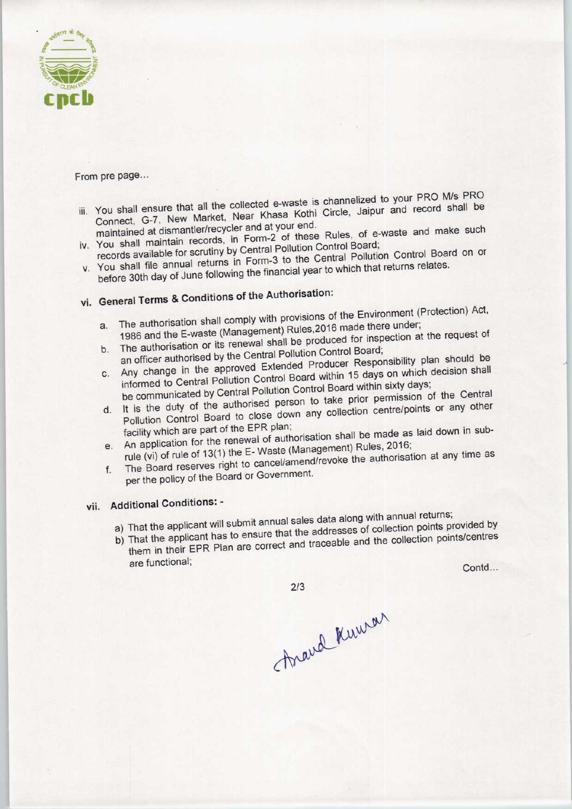

From pre page...

- is channelized to your PRO M/s PRO You shall ensure that all the collected e-waste is channelized to your From the Pro-Connect, G-7, New Market, Near Khasa Kothi Circle, Jaipur and record shall be maintained at dismantler/recycler and at your end. connect, G-7, New manner,<br>maintained at dismantler/recycler and at your end. all ensure that all the collected e-waste is (t, G-7, New Market, Near Khasa Kothi Condinent and a dismantler/recycler and at your end.<br>
all maintain records, in Form-2 of these lall maintain records, in Form-2 of these la
- You shall maintain records, in Form-2 of these control Board;
- v. You shall maintain Forutiny by Central Pollution Control Board,<br>records available for scrutiny by Central Pollution Control Board on or You shall file annual returns in Form-3 to the Geniual Pollowing School School School School School School School School School School School School School School School School School School School School School School Sch before 30th day of June following the financial year to which that returns relates.<br>vi. General Terms & Conditions of the Authorisation:
- 

- a.The authorisation shall comply with provisions of the Environment(Protection) Act, a. The authorisation shall comply with provisions or the Energy conder;<br>1986 and the E-waste (Management) Rules, 2016 made there under;
- b. The authorisation or its renewal shall be produced for inspection at the request of an officer authorised by the Central Pollution Control Board;
- b. The authorisation or its renewal shall be produced for inspection at the requirement of the central Pollution Control Board;<br>c. Any change in the approved Extended Producer Responsibility plan should be<br>c. Any change in

informed to Central Pollution Control Board within 15 days on which decision the communicated by Central Pollution Control Board within sixty days;

- d. It is the duty of the authorised person to take prior permission of the Central<br>Pollution Control Board to close down any collection centre/points or any other facility which are part of the EPR plan; Pollution Control Board to close down any conection senter-<br>facility which are part of the EPR plan;<br>of authorisation shall be made as laid down in sub-
- e. An application for the renewal of authorisation shall be made as laid down in sub-<br>rule (vi) of rule of 13(1) the E- Waste (Management) Rules, 2016;<br>rule (vi) of rule of 13(1) the E- Waste (Management) Rules, 2016;
- The Board reserves right to cancel/amend/revoke the authorisation at any time as per the policy of the Board or Government.

# vii. Additional Conditions: -

- 
- a) That the applicant will submit annual sales data along with annual returns; a) That the applicant will submit annual sales data along with annual returns,<br>a) That the applicant will submit annual sales datasses of collection points provided by That the applicant has to ensure that the addresses of collection points/centres collection centre/points or any other<br>
in shall be made as laid down in sub-<br>
ment) Rules, 2016;<br>
voke the authorisation at any time as<br>
tta along with annual returns;<br>
lresses of collection points provided by<br>
eable and